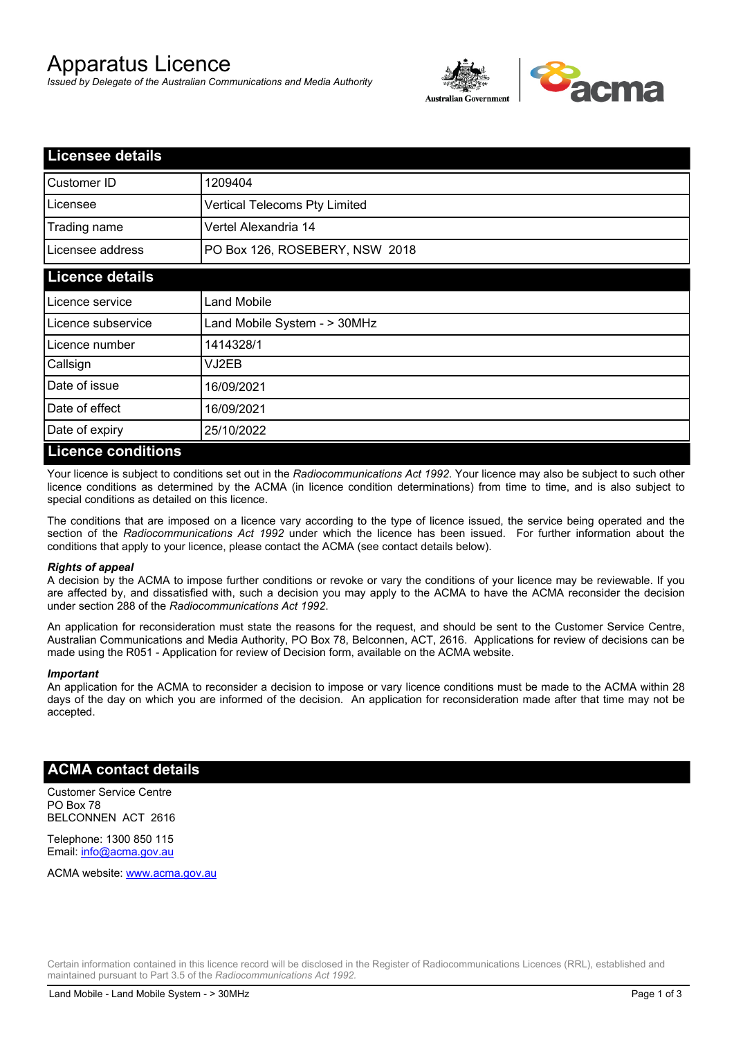# Apparatus Licence

*Issued by Delegate of the Australian Communications and Media Authority*



| <b>Licensee details</b> |                                |
|-------------------------|--------------------------------|
| Customer ID             | 1209404                        |
| Licensee                | Vertical Telecoms Pty Limited  |
| Trading name            | Vertel Alexandria 14           |
| Licensee address        | PO Box 126, ROSEBERY, NSW 2018 |
| <b>Licence details</b>  |                                |
| Licence service         | <b>Land Mobile</b>             |
| Licence subservice      | Land Mobile System - > 30MHz   |
| Licence number          | 1414328/1                      |
| Callsign                | VJ2EB                          |
| Date of issue           | 16/09/2021                     |
| Date of effect          | 16/09/2021                     |
| Date of expiry          | 25/10/2022                     |
| l iconco conditione     |                                |

### **Licence conditions**

Your licence is subject to conditions set out in the *Radiocommunications Act 1992*. Your licence may also be subject to such other licence conditions as determined by the ACMA (in licence condition determinations) from time to time, and is also subject to special conditions as detailed on this licence.

The conditions that are imposed on a licence vary according to the type of licence issued, the service being operated and the section of the *Radiocommunications Act 1992* under which the licence has been issued. For further information about the conditions that apply to your licence, please contact the ACMA (see contact details below).

### *Rights of appeal*

A decision by the ACMA to impose further conditions or revoke or vary the conditions of your licence may be reviewable. If you are affected by, and dissatisfied with, such a decision you may apply to the ACMA to have the ACMA reconsider the decision under section 288 of the *Radiocommunications Act 1992*.

An application for reconsideration must state the reasons for the request, and should be sent to the Customer Service Centre, Australian Communications and Media Authority, PO Box 78, Belconnen, ACT, 2616. Applications for review of decisions can be made using the R051 - Application for review of Decision form, available on the ACMA website.

#### *Important*

An application for the ACMA to reconsider a decision to impose or vary licence conditions must be made to the ACMA within 28 days of the day on which you are informed of the decision. An application for reconsideration made after that time may not be accepted.

### **ACMA contact details**

Customer Service Centre PO Box 78 BELCONNEN ACT 2616

Telephone: 1300 850 115 Email: info@acma.gov.au

ACMA website: www.acma.gov.au

Certain information contained in this licence record will be disclosed in the Register of Radiocommunications Licences (RRL), established and maintained pursuant to Part 3.5 of the *Radiocommunications Act 1992.*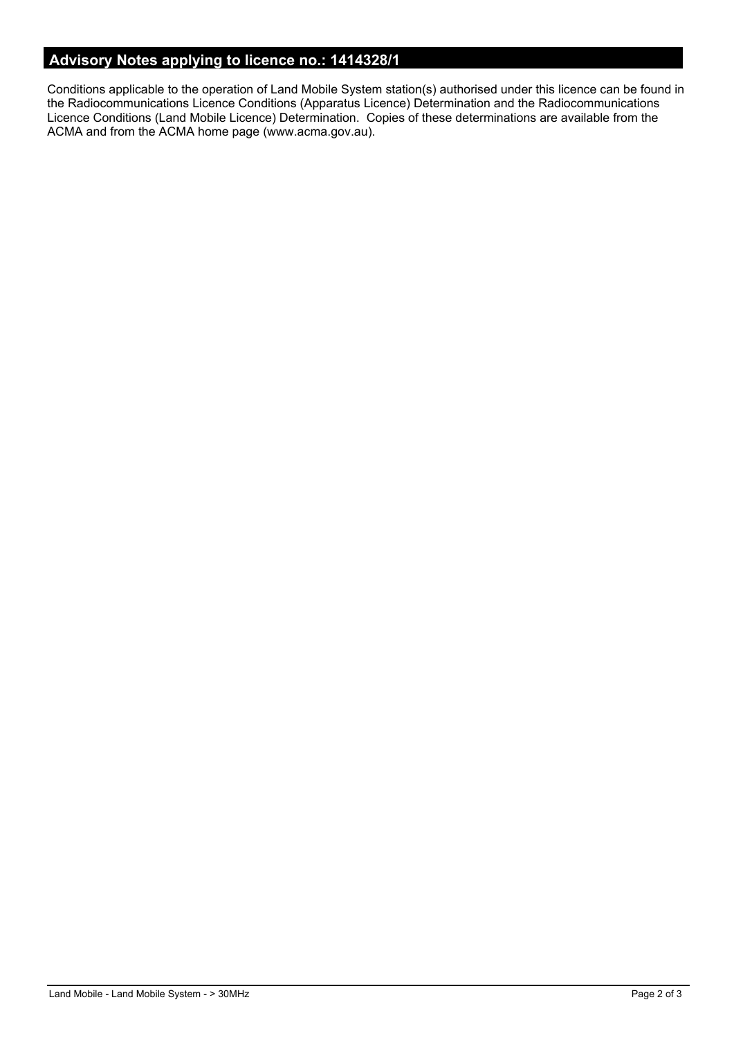# **Advisory Notes applying to licence no.: 1414328/1**

Conditions applicable to the operation of Land Mobile System station(s) authorised under this licence can be found in the Radiocommunications Licence Conditions (Apparatus Licence) Determination and the Radiocommunications Licence Conditions (Land Mobile Licence) Determination. Copies of these determinations are available from the ACMA and from the ACMA home page (www.acma.gov.au).